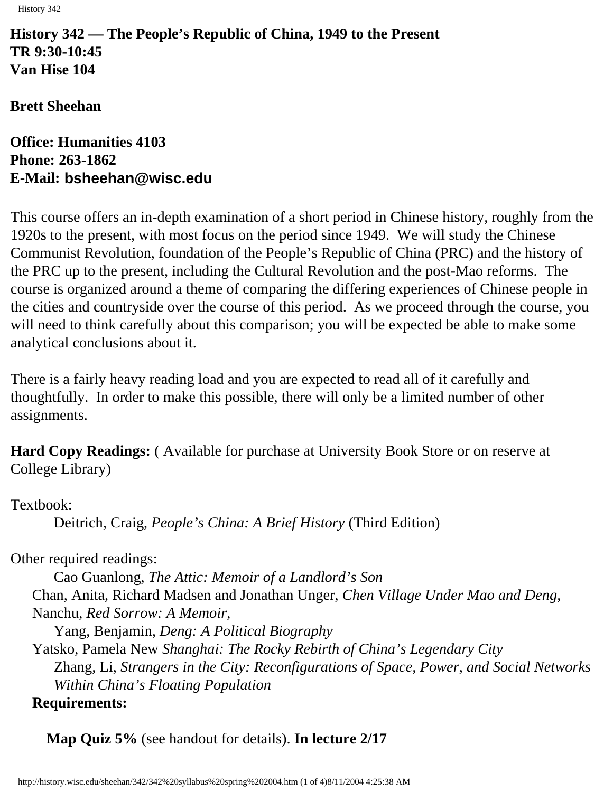History 342

**History 342 — The People's Republic of China, 1949 to the Present TR 9:30-10:45 Van Hise 104**

**Brett Sheehan**

**Office: Humanities 4103 Phone: 263-1862 E-Mail: [bsheehan@wisc.edu](mailto:bsheehan@facstaff.edu)**

This course offers an in-depth examination of a short period in Chinese history, roughly from the 1920s to the present, with most focus on the period since 1949. We will study the Chinese Communist Revolution, foundation of the People's Republic of China (PRC) and the history of the PRC up to the present, including the Cultural Revolution and the post-Mao reforms. The course is organized around a theme of comparing the differing experiences of Chinese people in the cities and countryside over the course of this period. As we proceed through the course, you will need to think carefully about this comparison; you will be expected be able to make some analytical conclusions about it.

There is a fairly heavy reading load and you are expected to read all of it carefully and thoughtfully. In order to make this possible, there will only be a limited number of other assignments.

**Hard Copy Readings:** ( Available for purchase at University Book Store or on reserve at College Library)

Textbook:

Deitrich, Craig, *People's China: A Brief History* (Third Edition)

Other required readings:

Cao Guanlong, *The Attic: Memoir of a Landlord's Son* Chan, Anita, Richard Madsen and Jonathan Unger, *Chen Village Under Mao and Deng*, Nanchu, *Red Sorrow: A Memoir*,

Yang, Benjamin, *Deng: A Political Biography*

Yatsko, Pamela New *Shanghai: The Rocky Rebirth of China's Legendary City* Zhang, Li, *Strangers in the City: Reconfigurations of Space, Power, and Social Networks Within China's Floating Population* **Requirements:**

**Map Quiz 5%** (see handout for details). **In lecture 2/17**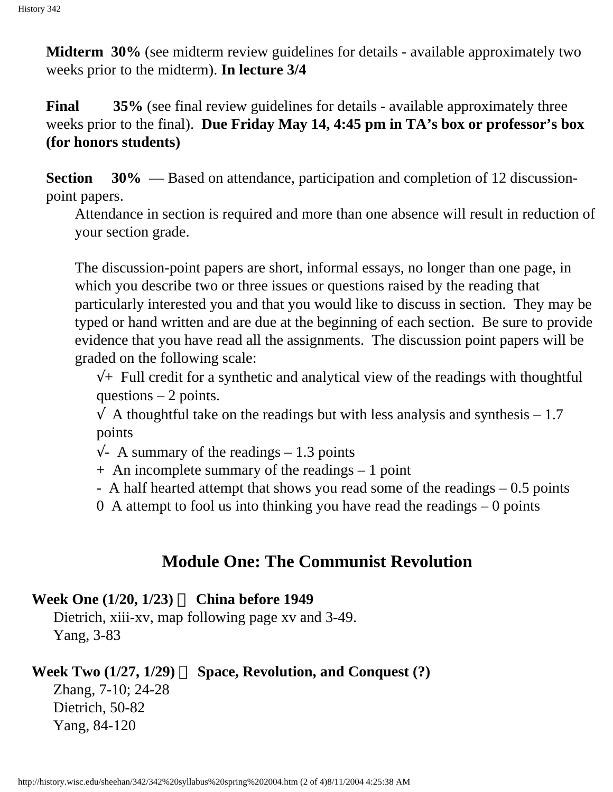**Midterm 30%** (see midterm review guidelines for details - available approximately two weeks prior to the midterm). **In lecture 3/4**

**Final** 35% (see final review guidelines for details - available approximately three weeks prior to the final). **Due Friday May 14, 4:45 pm in TA's box or professor's box (for honors students)**

**Section** 30% — Based on attendance, participation and completion of 12 discussionpoint papers.

Attendance in section is required and more than one absence will result in reduction of your section grade.

The discussion-point papers are short, informal essays, no longer than one page, in which you describe two or three issues or questions raised by the reading that particularly interested you and that you would like to discuss in section. They may be typed or hand written and are due at the beginning of each section. Be sure to provide evidence that you have read all the assignments. The discussion point papers will be graded on the following scale:

 $\sqrt{+}$  Full credit for a synthetic and analytical view of the readings with thoughtful questions  $-2$  points.

 $\sqrt{\phantom{a}}$  A thoughtful take on the readings but with less analysis and synthesis – 1.7 points

 $\sqrt{\phantom{a}}$  A summary of the readings – 1.3 points

+ An incomplete summary of the readings – 1 point

- A half hearted attempt that shows you read some of the readings – 0.5 points

0 A attempt to fool us into thinking you have read the readings  $-0$  points

# **Module One: The Communist Revolution**

### **Week One (1/20, 1/23) China before 1949**

Dietrich, xiii-xv, map following page xv and 3-49. Yang, 3-83

# **Week Two (1/27, 1/29) Space, Revolution, and Conquest (?)**

Zhang, 7-10; 24-28 Dietrich, 50-82 Yang, 84-120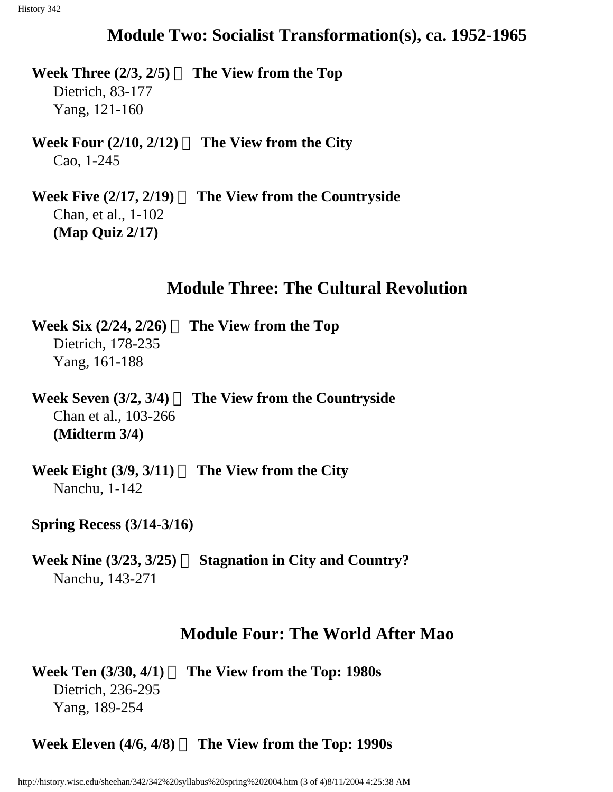# **Module Two: Socialist Transformation(s), ca. 1952-1965**

**Week Three (2/3, 2/5) The View from the Top** Dietrich, 83-177 Yang, 121-160

**Week Four (2/10, 2/12) The View from the City** Cao, 1-245

**Week Five (2/17, 2/19) The View from the Countryside** Chan, et al., 1-102 **(Map Quiz 2/17)**

# **Module Three: The Cultural Revolution**

**Week Six (2/24, 2/26) The View from the Top** Dietrich, 178-235 Yang, 161-188

**Week Seven (3/2, 3/4) The View from the Countryside** Chan et al., 103-266 **(Midterm 3/4)**

**Week Eight (3/9, 3/11) The View from the City** Nanchu, 1-142

#### **Spring Recess (3/14-3/16)**

**Week Nine (3/23, 3/25) Stagnation in City and Country?** Nanchu, 143-271

# **Module Four: The World After Mao**

**Week Ten (3/30, 4/1) The View from the Top: 1980s** Dietrich, 236-295 Yang, 189-254

**Week Eleven (4/6, 4/8) The View from the Top: 1990s**